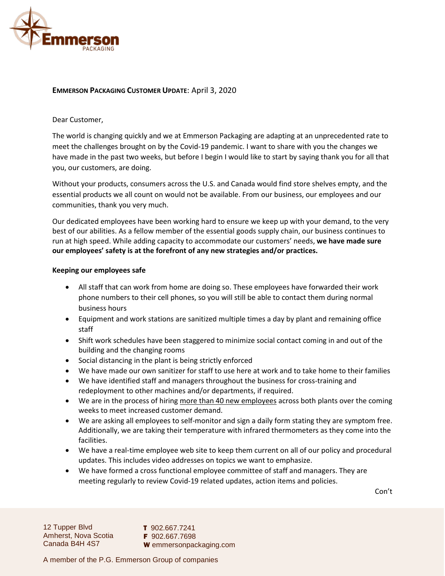

# **EMMERSON PACKAGING CUSTOMER UPDATE**: April 3, 2020

# Dear Customer,

The world is changing quickly and we at Emmerson Packaging are adapting at an unprecedented rate to meet the challenges brought on by the Covid-19 pandemic. I want to share with you the changes we have made in the past two weeks, but before I begin I would like to start by saying thank you for all that you, our customers, are doing.

Without your products, consumers across the U.S. and Canada would find store shelves empty, and the essential products we all count on would not be available. From our business, our employees and our communities, thank you very much.

Our dedicated employees have been working hard to ensure we keep up with your demand, to the very best of our abilities. As a fellow member of the essential goods supply chain, our business continues to run at high speed. While adding capacity to accommodate our customers' needs, **we have made sure our employees' safety is at the forefront of any new strategies and/or practices.** 

# **Keeping our employees safe**

- All staff that can work from home are doing so. These employees have forwarded their work phone numbers to their cell phones, so you will still be able to contact them during normal business hours
- Equipment and work stations are sanitized multiple times a day by plant and remaining office staff
- Shift work schedules have been staggered to minimize social contact coming in and out of the building and the changing rooms
- Social distancing in the plant is being strictly enforced
- We have made our own sanitizer for staff to use here at work and to take home to their families
- We have identified staff and managers throughout the business for cross-training and redeployment to other machines and/or departments, if required.
- We are in the process of hiring more than 40 new employees across both plants over the coming weeks to meet increased customer demand.
- We are asking all employees to self-monitor and sign a daily form stating they are symptom free. Additionally, we are taking their temperature with infrared thermometers as they come into the facilities.
- We have a real-time employee web site to keep them current on all of our policy and procedural updates. This includes video addresses on topics we want to emphasize.
- We have formed a cross functional employee committee of staff and managers. They are meeting regularly to review Covid-19 related updates, action items and policies.

Con't

12 Tupper Blvd Amherst, Nova Scotia Canada B4H 4S7

T 902.667.7241 F 902.667.7698 W emmersonpackaging.com

A member of the P.G. Emmerson Group of companies